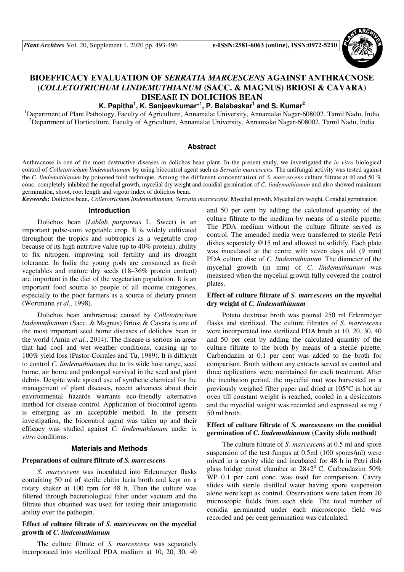

# **BIOEFFICACY EVALUATION OF** *SERRATIA MARCESCENS* **AGAINST ANTHRACNOSE (***COLLETOTRICHUM LINDEMUTHIANUM* **(SACC. & MAGNUS) BRIOSI & CAVARA) DISEASE IN DOLICHOS BEAN**

# **K. Papitha<sup>1</sup> , K. Sanjeevkumar\*<sup>1</sup> , P. Balabaskar<sup>1</sup> and S. Kumar<sup>2</sup>**

<sup>1</sup>Department of Plant Pathology, Faculty of Agriculture, Annamalai University, Annamalai Nagar-608002, Tamil Nadu, India <sup>2</sup>Department of Horticulture, Faculty of Agriculture, Annamalai University, Annamalai Nagar-608002, Tamil Nadu, India

#### **Abstract**

Anthracnose is one of the most destructive diseases in dolichos bean plant. In the present study, we investigated the *in vitro* biological control of *Colletotrichum lindemuthianum* by using biocontrol agent such as *Serratia marcescens.* The antifungal activity was tested against the *C. lindemuthianum* by poisoned food technique. Among the different concentration of *S. marcescens* culture filtrate at 40 and 50 % conc. completely inhibited the mycelial growth, mycelial dry weight and conidial germination of *C. lindemuthianum* and also showed maximum germination, shoot, root length and vigour index of dolichos bean.

*Keywords***:** Dolichos bean, *Colletotrichum lindemuthianum, Serratia marcescens,* Mycelial growth, Mycelial dry weight, Conidial germination

#### **Introduction**

Dolichos bean (*Lablab purpureus* L. Sweet) is an important pulse-cum vegetable crop. It is widely cultivated throughout the tropics and subtropics as a vegetable crop because of its high nutritive value (up to 40% protein), ability to fix nitrogen, improving soil fertility and its drought tolerance. In India the young pods are consumed as fresh vegetables and mature dry seeds (18–36% protein content) are important in the diet of the vegetarian population. It is an important food source to people of all income categories, especially to the poor farmers as a source of dietary protein (Wortmann *et al.*, 1998).

Dolichos bean anthracnose caused by *Colletotrichum lindemuthianum* (Sacc. & Magnus) Briosi & Cavara is one of the most important seed borne diseases of dolichos bean in the world (Amin *et al.*, 2014). The disease is serious in areas that had cool and wet weather conditions, causing up to 100% yield loss (Pastor-Corrales and Tu, 1989). It is difficult to control *C. lindemuthianum* due to its wide host range, seed borne, air borne and prolonged survival in the seed and plant debris. Despite wide spread use of synthetic chemical for the management of plant diseases, recent advances about their environmental hazards warrants eco-friendly alternative method for disease control. Application of biocontrol agents is emerging as an acceptable method. In the present investigation, the biocontrol agent was taken up and their efficacy was studied against *C. lindemuthianum* under *in vitro* conditions.

#### **Materials and Methods**

#### **Preparations of culture filtrate of** *S. marcescens*

*S. marcescens* was inoculated into Erlenmeyer flasks containing 50 ml of sterile chitin luria broth and kept on a rotary shaker at 100 rpm for 48 h. Then the culture was filtered through bacteriological filter under vacuum and the filtrate thus obtained was used for testing their antagonistic ability over the pathogen.

# **Effect of culture filtrate of** *S. marcescens* **on the mycelial growth of** *C. lindemuthianum*

The culture filtrate of *S. marcescens* was separately incorporated into sterilized PDA medium at 10, 20, 30, 40

and 50 per cent by adding the calculated quantity of the culture filtrate to the medium by means of a sterile pipette. The PDA medium without the culture filtrate served as control. The amended media were transferred to sterile Petri dishes separately @15 ml and allowed to solidify. Each plate was inoculated at the centre with seven days old (9 mm) PDA culture disc of *C. lindemuthianum*. The diameter of the mycelial growth (in mm) of *C. lindemuthianum* was measured when the mycelial growth fully covered the control plates.

#### **Effect of culture filtrate of** *S. marcescens* **on the mycelial dry weight of** *C. lindemuthianum*

Potato dextrose broth was poured 250 ml Erlenmeyer flasks and sterilized. The culture filtrates of *S. marcescens* were incorporated into sterilized PDA broth at 10, 20, 30, 40 and 50 per cent by adding the calculated quantity of the culture filtrate to the broth by means of a sterile pipette. Carbendazim at 0.1 per cent was added to the broth for comparison. Broth without any extracts served as control and three replications were maintained for each treatment. After the incubation period, the mycelial mat was harvested on a previously weighed filter paper and dried at 105°C in hot air oven till constant weight is reached, cooled in a desiccators and the mycelial weight was recorded and expressed as mg / 50 ml broth.

## **Effect of culture filtrate of** *S. marcescens* **on the conidial germination of** *C. lindemuthianum* **(Cavity slide method)**

The culture filtrate of *S. marcescens* at 0.5 ml and spore suspension of the test fungus at 0.5ml (100 spores/ml) were mixed in a cavity slide and incubated for 48 h in Petri dish glass bridge moist chamber at  $28+2^0$  C. Carbendazim 50% WP 0.1 per cent conc. was used for comparison. Cavity slides with sterile distilled water having spore suspension alone were kept as control. Observations were taken from 20 microscopic fields from each slide. The total number of conidia germinated under each microscopic field was recorded and per cent germination was calculated.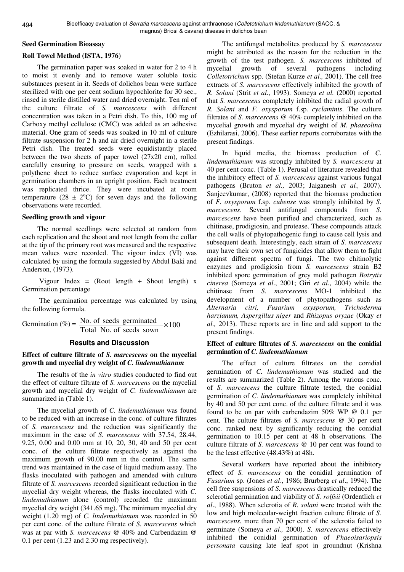#### **Seed Germination Bioassay**

# **Roll Towel Method (ISTA, 1976)**

The germination paper was soaked in water for 2 to 4 h to moist it evenly and to remove water soluble toxic substances present in it. Seeds of dolichos bean were surface sterilized with one per cent sodium hypochlorite for 30 sec., rinsed in sterile distilled water and dried overnight. Ten ml of the culture filtrate of *S. marcescens* with different concentration was taken in a Petri dish. To this, 100 mg of Carboxy methyl cellulose (CMC) was added as an adhesive material. One gram of seeds was soaked in 10 ml of culture filtrate suspension for 2 h and air dried overnight in a sterile Petri dish. The treated seeds were equidistantly placed between the two sheets of paper towel (27x20 cm), rolled carefully ensuring to pressure on seeds, wrapped with a polythene sheet to reduce surface evaporation and kept in germination chambers in an upright position. Each treatment was replicated thrice. They were incubated at room temperature (28  $\pm$  2°C) for seven days and the following observations were recorded.

#### **Seedling growth and vigour**

The normal seedlings were selected at random from each replication and the shoot and root length from the collar at the tip of the primary root was measured and the respective mean values were recorded. The vigour index (VI) was calculated by using the formula suggested by Abdul Baki and Anderson, (1973).

Vigour Index =  $(Root length + Shoot length) x$ Germination percentage

 The germination percentage was calculated by using the following formula.

$$
Germanation (\%) = \frac{No. of seeds germinated}{Total No. of seeds sown} \times 100
$$

#### **Results and Discussion**

# **Effect of culture filtrate of** *S. marcescens* **on the mycelial growth and mycelial dry weight of** *C. lindemuthianum*

The results of the *in vitro* studies conducted to find out the effect of culture filtrate of *S. marcescens* on the mycelial growth and mycelial dry weight of *C. lindemuthianum* are summarized in (Table 1).

The mycelial growth of *C. lindemuthianum* was found to be reduced with an increase in the conc. of culture filtrates of *S. marcescens* and the reduction was significantly the maximum in the case of *S. marcescens* with 37.54, 28.44, 9.25, 0.00 and 0.00 mm at 10, 20, 30, 40 and 50 per cent conc. of the culture filtrate respectively as against the maximum growth of 90.00 mm in the control. The same trend was maintained in the case of liquid medium assay. The flasks inoculated with pathogen and amended with culture filtrate of *S. marcescens* recorded significant reduction in the mycelial dry weight whereas, the flasks inoculated with *C. lindemuthianum* alone (control) recorded the maximum mycelial dry weight (341.65 mg). The minimum mycelial dry weight (1.20 mg) of *C. lindemuthianum* was recorded in 50 per cent conc. of the culture filtrate of *S. marcescens* which was at par with *S. marcescens* @ 40% and Carbendazim @ 0.1 per cent (1.23 and 2.30 mg respectively).

The antifungal metabolites produced by *S. marcescens* might be attributed as the reason for the reduction in the growth of the test pathogen. *S. marcescens* inhibited of mycelial growth of several pathogens including *Colletotrichum* spp. (Stefan Kurze *et al.,* 2001). The cell free extracts of *S. marcescens* effectively inhibited the growth of *R. Solani* (Strit *et al*., 1993). Someya *et al.* (2000) reported that *S. marcescens* completely inhibited the radial growth of *R. Solani* and *F. oxysporum* f.sp*. cyclaminis*. The culture filtrates of *S. marcescens* @ 40% completely inhibited on the mycelial growth and mycelial dry weight of *M. phaseolina* (Ezhilarasi, 2006). These earlier reports corroborates with the present findings.

In liquid media, the biomass production of *C. lindemuthianum* was strongly inhibited by *S. marcescens* at 40 per cent conc. (Table 1). Perusal of literature revealed that the inhibitory effect of *S. marcescens* against various fungal pathogens (Bruton *et al.,* 2003; Jaiganesh *et al.,* 2007). Sanjeevkumar, (2008) reported that the biomass production of *F. oxysporum* f.sp*. cubense* was strongly inhibited by *S. marcescens*. Several antifungal compounds from *S. marcescens* have been purified and characterized, such as chitinase, prodigiosin, and protease. These compounds attack the cell walls of phytopathogenic fungi to cause cell lysis and subsequent death. Interestingly, each strain of *S. marcescens*  may have their own set of fungicides that allow them to fight against different spectra of fungi. The two chitinolytic enzymes and prodigiosin from *S. marcescens* strain B2 inhibited spore germination of grey mold pathogen *Botrytis cinerea* (Someya *et al*., 2001; Giri *et al*., 2004) while the chitinase from *S. marcescens* MO-1 inhibited the development of a number of phytopathogens such as *Alternaria citri, Fusarium oxysporum, Trichoderma harzianum, Aspergillus niger* and *Rhizopus oryzae* (Okay *et al.,* 2013). These reports are in line and add support to the present findings.

# **Effect of culture filtrates of** *S. marcescens* **on the conidial germination of** *C. lindemuthianum*

The effect of culture filtrates on the conidial germination of *C. lindemuthianum* was studied and the results are summarized (Table 2). Among the various conc. of *S. marcescens* the culture filtrate tested, the conidial germination of *C. lindemuthianum* was completely inhibited by 40 and 50 per cent conc. of the culture filtrate and it was found to be on par with carbendazim 50% WP @ 0.1 per cent. The culture filtrates of *S. marcescens @* 30 per cent conc. ranked next by significantly reducing the conidial germination to 10.15 per cent at 48 h observations. The culture filtrate of *S. marcescens @* 10 per cent was found to be the least effective (48.43%) at 48h.

Several workers have reported about the inhibitory effect of *S. marcescens* on the conidial germination of *Fusarium* sp. (Jones *et al*., 1986; Brurberg *et al*., 1994). The cell free suspensions of *S. marcescens* drastically reduced the sclerotial germination and viability of *S. rolfsii* (Ordentlich *et al*., 1988). When sclerotia of *R. solani* were treated with the low and high molecular-weight fraction culture filtrate of *S. marcescens*, more than 70 per cent of the sclerotia failed to germinate (Someya *et al.,* 2000). *S. marcescens* effectively inhibited the conidial germination of *Phaeoisariopsis personata* causing late leaf spot in groundnut (Krishna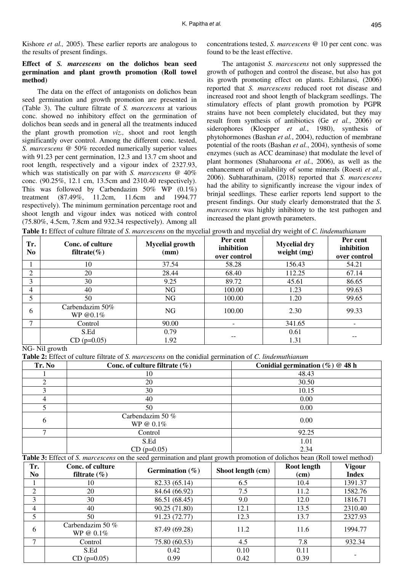# **Effect of** *S. marcescens* **on the dolichos bean seed germination and plant growth promotion (Roll towel method)**

The data on the effect of antagonists on dolichos bean seed germination and growth promotion are presented in (Table 3). The culture filtrate of *S. marcescens* at various conc. showed no inhibitory effect on the germination of dolichos bean seeds and in general all the treatments induced the plant growth promotion *viz.,* shoot and root length significantly over control. Among the different conc. tested, *S. marcescens* @ 50% recorded numerically superior values with 91.23 per cent germination, 12.3 and 13.7 cm shoot and root length, respectively and a vigour index of 2327.93, which was statistically on par with *S. marcescens* @ 40% conc. (90.25%, 12.1 cm, 13.5cm and 2310.40 respectively). This was followed by Carbendazim 50% WP (0.1%) treatment (87.49%, 11.2cm, 11.6cm and 1994.77 respectively). The minimum germination percentage root and shoot length and vigour index was noticed with control (75.80%, 4.5cm, 7.8cm and 932.34 respectively). Among all concentrations tested, *S. marcescens* @ 10 per cent conc. was found to be the least effective.

The antagonist *S. marcescens* not only suppressed the growth of pathogen and control the disease, but also has got its growth promoting effect on plants. Ezhilarasi, (2006) reported that *S. marcescens* reduced root rot disease and increased root and shoot length of blackgram seedlings. The stimulatory effects of plant growth promotion by PGPR strains have not been completely elucidated, but they may result from synthesis of antibiotics (Ge *et al.*, 2006) or siderophores (Kloepper *et al.*, 1980), synthesis of phytohormones (Bashan *et al.*, 2004), reduction of membrane potential of the roots (Bashan *et al.*, 2004), synthesis of some enzymes (such as ACC deaminase) that modulate the level of plant hormones (Shaharoona *et al.*, 2006), as well as the enhancement of availability of some minerals (Roesti *et al.*, 2006). Subharathinam, (2018) reported that *S. marcescens*  had the ability to significantly increase the vigour index of brinjal seedlings. These earlier reports lend support to the present findings. Our study clearly demonstrated that the *S. marcescens* was highly inhibitory to the test pathogen and increased the plant growth parameters.

**Table 1:** Effect of culture filtrate of *S. marcescens* on the mycelial growth and mycelial dry weight of *C. lindemuthianum*

| Tr.<br>N <sub>0</sub> | Conc. of culture<br>filtrate $(\% )$ | <b>Mycelial growth</b><br>(mm) | Per cent<br>inhibition<br>over control | <b>Mycelial dry</b><br>weight (mg) | Per cent<br>inhibition<br>over control |
|-----------------------|--------------------------------------|--------------------------------|----------------------------------------|------------------------------------|----------------------------------------|
|                       | 10                                   | 37.54                          | 58.28                                  | 156.43                             | 54.21                                  |
| ↑                     | 20                                   | 28.44                          | 68.40                                  | 112.25                             | 67.14                                  |
| 3                     | 30                                   | 9.25                           | 89.72                                  | 45.61                              | 86.65                                  |
| 4                     | 40                                   | NG                             | 100.00                                 | 1.23                               | 99.63                                  |
|                       | 50                                   | NG                             | 100.00                                 | 1.20                               | 99.65                                  |
| 6                     | Carbendazim 50%<br>WP @0.1%          | NG                             | 100.00                                 | 2.30                               | 99.33                                  |
| ⇁                     | Control                              | 90.00                          |                                        | 341.65                             |                                        |
|                       | S.Ed                                 | 0.79                           |                                        | 0.61                               |                                        |
|                       | $CD (p=0.05)$                        | 1.92                           |                                        | 1.31                               |                                        |

# NG- Nil growth

**Table 2:** Effect of culture filtrate of *S. marcescens* on the conidial germination of *C. lindemuthianum* 

| Tr. No | Conc. of culture filtrate $(\%)$ | Conidial germination $(\% )$ @ 48 h |
|--------|----------------------------------|-------------------------------------|
|        | 10                               | 48.43                               |
| ◠      | 20                               | 30.50                               |
| 3      | 30                               | 10.15                               |
| 4      | 40                               | 0.00                                |
|        | 50                               | 0.00                                |
| 6      | Carbendazim 50 %<br>WP @ $0.1\%$ | 0.00                                |
| ⇁      | Control                          | 92.25                               |
|        | S.Ed                             | 1.01                                |
|        | $CD (p=0.05)$                    | 2.34                                |

**Table 3:** Effect of *S. marcescens* on the seed germination and plant growth promotion of dolichos bean (Roll towel method)

| Tr.<br>No      | Conc. of culture<br>filtrate $(\% )$ | Germination $(\% )$ | Shoot length (cm) | Root length<br>(cm) | <b>Vigour</b><br><b>Index</b> |
|----------------|--------------------------------------|---------------------|-------------------|---------------------|-------------------------------|
|                | 10                                   | 82.33 (65.14)       | 6.5               | 10.4                | 1391.37                       |
| $\overline{2}$ | 20                                   | 84.64 (66.92)       | 7.5               | 11.2                | 1582.76                       |
| 3              | 30                                   | 86.51 (68.45)       | 9.0               | 12.0                | 1816.71                       |
| 4              | 40                                   | 90.25 (71.80)       | 12.1              | 13.5                | 2310.40                       |
| 5              | 50                                   | 91.23 (72.77)       | 12.3              | 13.7                | 2327.93                       |
| 6              | Carbendazim 50 %<br>WP @ $0.1\%$     | 87.49 (69.28)       | 11.2              | 11.6                | 1994.77                       |
| $\mathcal{L}$  | Control                              | 75.80 (60.53)       | 4.5               | 7.8                 | 932.34                        |
|                | S.Ed                                 | 0.42                | 0.10              | 0.11                |                               |
|                | $CD (p=0.05)$                        | 0.99                | 0.42              | 0.39                |                               |